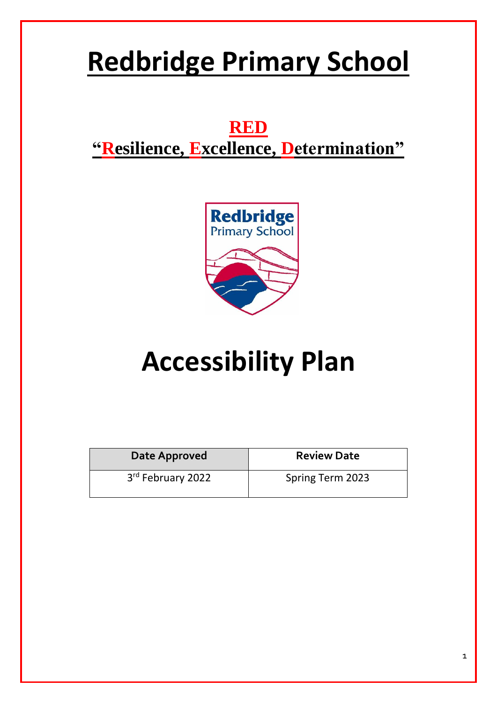## **Redbridge Primary School**

### **RED "Resilience, Excellence, Determination"**



# **Accessibility Plan**

| Date Approved     | <b>Review Date</b> |
|-------------------|--------------------|
| 3rd February 2022 | Spring Term 2023   |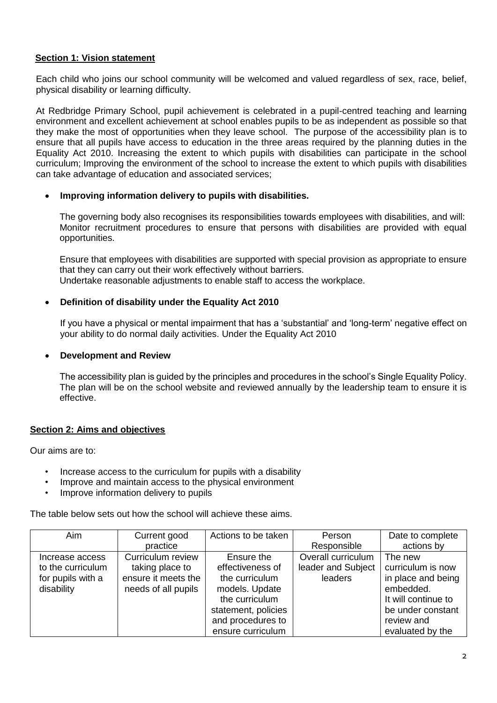#### **Section 1: Vision statement**

Each child who joins our school community will be welcomed and valued regardless of sex, race, belief, physical disability or learning difficulty.

At Redbridge Primary School, pupil achievement is celebrated in a pupil-centred teaching and learning environment and excellent achievement at school enables pupils to be as independent as possible so that they make the most of opportunities when they leave school. The purpose of the accessibility plan is to ensure that all pupils have access to education in the three areas required by the planning duties in the Equality Act 2010. Increasing the extent to which pupils with disabilities can participate in the school curriculum; Improving the environment of the school to increase the extent to which pupils with disabilities can take advantage of education and associated services;

#### **Improving information delivery to pupils with disabilities.**

The governing body also recognises its responsibilities towards employees with disabilities, and will: Monitor recruitment procedures to ensure that persons with disabilities are provided with equal opportunities.

Ensure that employees with disabilities are supported with special provision as appropriate to ensure that they can carry out their work effectively without barriers. Undertake reasonable adjustments to enable staff to access the workplace.

#### **Definition of disability under the Equality Act 2010**

If you have a physical or mental impairment that has a 'substantial' and 'long-term' negative effect on your ability to do normal daily activities. Under the Equality Act 2010

#### **Development and Review**

The accessibility plan is guided by the principles and procedures in the school's Single Equality Policy. The plan will be on the school website and reviewed annually by the leadership team to ensure it is effective.

#### **Section 2: Aims and objectives**

Our aims are to:

- Increase access to the curriculum for pupils with a disability
- Improve and maintain access to the physical environment
- Improve information delivery to pupils

The table below sets out how the school will achieve these aims.

| <b>Aim</b>        | Current good        | Actions to be taken | Person             | Date to complete    |
|-------------------|---------------------|---------------------|--------------------|---------------------|
|                   | practice            |                     | Responsible        | actions by          |
| Increase access   | Curriculum review   | Ensure the          | Overall curriculum | The new             |
| to the curriculum | taking place to     | effectiveness of    | leader and Subject | curriculum is now   |
| for pupils with a | ensure it meets the | the curriculum      | leaders            | in place and being  |
| disability        | needs of all pupils | models. Update      |                    | embedded.           |
|                   |                     | the curriculum      |                    | It will continue to |
|                   |                     | statement, policies |                    | be under constant   |
|                   |                     | and procedures to   |                    | review and          |
|                   |                     | ensure curriculum   |                    | evaluated by the    |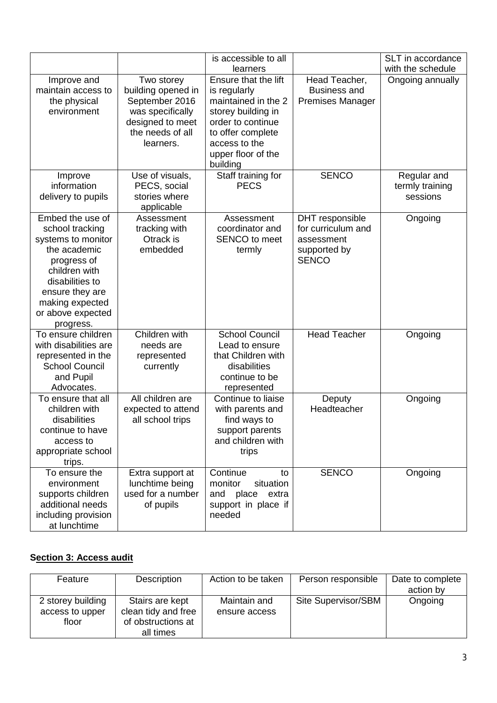|                                             |                    | is accessible to all               |                              | SLT in accordance                     |
|---------------------------------------------|--------------------|------------------------------------|------------------------------|---------------------------------------|
| Improve and                                 | Two storey         | learners<br>Ensure that the lift   | Head Teacher,                | with the schedule<br>Ongoing annually |
| maintain access to                          | building opened in | is regularly                       | <b>Business and</b>          |                                       |
| the physical                                | September 2016     | maintained in the 2                | <b>Premises Manager</b>      |                                       |
| environment                                 | was specifically   | storey building in                 |                              |                                       |
|                                             | designed to meet   | order to continue                  |                              |                                       |
|                                             | the needs of all   | to offer complete                  |                              |                                       |
|                                             | learners.          | access to the                      |                              |                                       |
|                                             |                    | upper floor of the<br>building     |                              |                                       |
| Improve                                     | Use of visuals,    | Staff training for                 | <b>SENCO</b>                 | Regular and                           |
| information                                 | PECS, social       | <b>PECS</b>                        |                              | termly training                       |
| delivery to pupils                          | stories where      |                                    |                              | sessions                              |
|                                             | applicable         |                                    |                              |                                       |
| Embed the use of                            | Assessment         | Assessment                         | DHT responsible              | Ongoing                               |
| school tracking                             | tracking with      | coordinator and                    | for curriculum and           |                                       |
| systems to monitor                          | Otrack is          | <b>SENCO</b> to meet               | assessment                   |                                       |
| the academic<br>progress of                 | embedded           | termly                             | supported by<br><b>SENCO</b> |                                       |
| children with                               |                    |                                    |                              |                                       |
| disabilities to                             |                    |                                    |                              |                                       |
| ensure they are                             |                    |                                    |                              |                                       |
| making expected                             |                    |                                    |                              |                                       |
| or above expected                           |                    |                                    |                              |                                       |
| progress.                                   |                    |                                    |                              |                                       |
| To ensure children                          | Children with      | <b>School Council</b>              | <b>Head Teacher</b>          | Ongoing                               |
| with disabilities are                       | needs are          | Lead to ensure                     |                              |                                       |
| represented in the<br><b>School Council</b> | represented        | that Children with<br>disabilities |                              |                                       |
| and Pupil                                   | currently          | continue to be                     |                              |                                       |
| Advocates.                                  |                    | represented                        |                              |                                       |
| To ensure that all                          | All children are   | Continue to liaise                 | Deputy                       | Ongoing                               |
| children with                               | expected to attend | with parents and                   | Headteacher                  |                                       |
| disabilities                                | all school trips   | find ways to                       |                              |                                       |
| continue to have                            |                    | support parents                    |                              |                                       |
| access to                                   |                    | and children with                  |                              |                                       |
| appropriate school                          |                    | trips                              |                              |                                       |
| trips.<br>To ensure the                     | Extra support at   | Continue<br>to                     | <b>SENCO</b>                 | Ongoing                               |
| environment                                 | lunchtime being    | situation<br>monitor               |                              |                                       |
| supports children                           | used for a number  | and<br>place<br>extra              |                              |                                       |
| additional needs                            | of pupils          | support in place if                |                              |                                       |
| including provision                         |                    | needed                             |                              |                                       |
| at lunchtime                                |                    |                                    |                              |                                       |

### **Section 3: Access audit**

| Feature                                       | Description                                                               | Action to be taken            | Person responsible  | Date to complete<br>action by |
|-----------------------------------------------|---------------------------------------------------------------------------|-------------------------------|---------------------|-------------------------------|
| 2 storey building<br>access to upper<br>floor | Stairs are kept<br>clean tidy and free<br>of obstructions at<br>all times | Maintain and<br>ensure access | Site Supervisor/SBM | Ongoing                       |